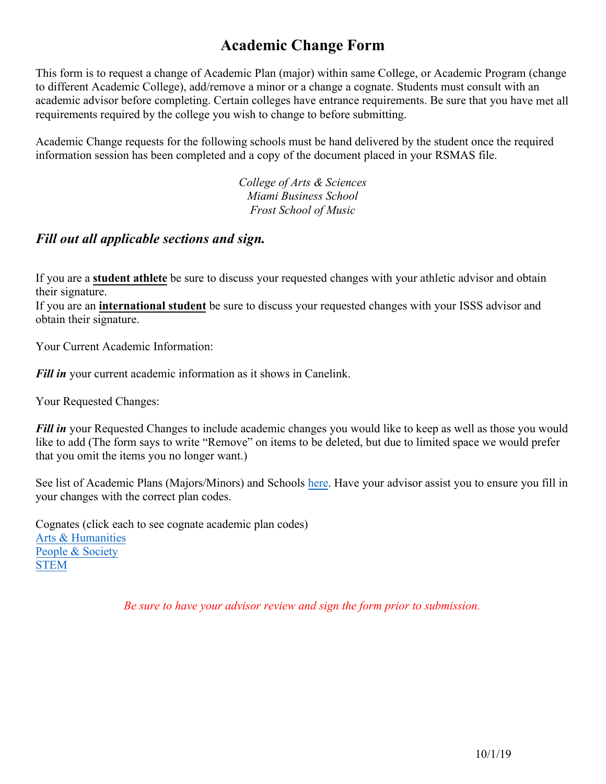## **Academic Change Form**

This form is to request a change of Academic Plan (major) within same College, or Academic Program (change to different Academic College), add/remove a minor or a change a cognate. Students must consult with an academic advisor before completing. Certain colleges have entrance requirements. Be sure that you have met all requirements required by the college you wish to change to before submitting.

Academic Change requests for the following schools must be hand delivered by the student once the required information session has been completed and a copy of the document placed in your RSMAS file.

> *College of Arts & Sciences Miami Business School Frost School of Music*

## *Fill out all applicable sections and sign.*

If you are a **student athlete** be sure to discuss your requested changes with your athletic advisor and obtain their signature.

If you are an **international student** be sure to discuss your requested changes with your ISSS advisor and obtain their signature.

Your Current Academic Information:

*Fill in* your current academic information as it shows in Canelink.

Your Requested Changes:

*Fill in* your Requested Changes to include academic changes you would like to keep as well as those you would like to add (The form says to write "Remove" on items to be deleted, but due to limited space we would prefer that you omit the items you no longer want.)

[See list of Academi](https://cognates.miami.edu/explore/Arts%20&%20Humanities)c Plans (Majors/Minors) and Schools [here.](https://undergraduate.rsmas.miami.edu/_assets/pdf/all_academic_plans_2198.pdf) Have your advisor assist you to ensure you fill in your [changes](https://cognates.miami.edu/explore/People%20&%20Society) with the correct plan codes.

Cognates (click each to see cognate academic plan codes) Arts & Humanities People & Society STEM

*Be sure to have your advisor review and sign the form prior to submission.*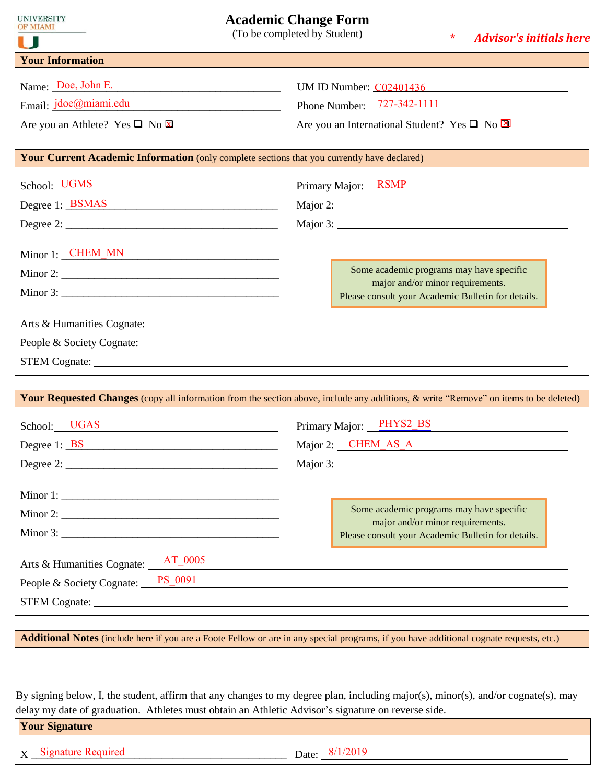| U                                                                                                  | <b>Academic Change Form</b><br>(To be completed by Student)<br>∗<br><b>Advisor's initials here</b>                                   |  |  |  |
|----------------------------------------------------------------------------------------------------|--------------------------------------------------------------------------------------------------------------------------------------|--|--|--|
| <b>Your Information</b>                                                                            |                                                                                                                                      |  |  |  |
| Name: Doe, John E.                                                                                 | UM ID Number: C02401436                                                                                                              |  |  |  |
| Email: <i>jdoe@miami.edu</i>                                                                       | Phone Number: $727-342-1111$                                                                                                         |  |  |  |
| Are you an Athlete? Yes $\Box$ No $\boxtimes$                                                      | Are you an International Student? Yes $\Box$ No $\boxtimes$                                                                          |  |  |  |
| <b>Your Current Academic Information</b> (only complete sections that you currently have declared) |                                                                                                                                      |  |  |  |
| School: UGMS                                                                                       | Primary Major: RSMP                                                                                                                  |  |  |  |
| Degree 1: BSMAS                                                                                    |                                                                                                                                      |  |  |  |
|                                                                                                    |                                                                                                                                      |  |  |  |
| Minor 1: CHEM_MN                                                                                   |                                                                                                                                      |  |  |  |
| Minor 2: $\qquad \qquad$                                                                           | Some academic programs may have specific                                                                                             |  |  |  |
|                                                                                                    | major and/or minor requirements.<br>Please consult your Academic Bulletin for details.                                               |  |  |  |
|                                                                                                    | People & Society Cognate: 2008 and 2008 and 2008 and 2008 and 2008 and 2008 and 2008 and 2008 and 2008 and 200                       |  |  |  |
|                                                                                                    | Your Requested Changes (copy all information from the section above, include any additions, & write "Remove" on items to be deleted) |  |  |  |
| School: UGAS                                                                                       | Primary Major: PHYS2_BS                                                                                                              |  |  |  |
| Degree $1:$ BS                                                                                     | Major 2: CHEM_AS A                                                                                                                   |  |  |  |
|                                                                                                    | Major 3:                                                                                                                             |  |  |  |
|                                                                                                    |                                                                                                                                      |  |  |  |
|                                                                                                    | Some academic programs may have specific                                                                                             |  |  |  |
|                                                                                                    | major and/or minor requirements.<br>Please consult your Academic Bulletin for details.                                               |  |  |  |
| Arts & Humanities Cognate: <u>AT</u> _0005                                                         |                                                                                                                                      |  |  |  |
| People & Society Cognate: PS_0091                                                                  |                                                                                                                                      |  |  |  |
|                                                                                                    |                                                                                                                                      |  |  |  |

**Additional Notes** (include here if you are a Foote Fellow or are in any special programs, if you have additional cognate requests, etc.)

By signing below, I, the student, affirm that any changes to my degree plan, including major(s), minor(s), and/or cognate(s), may delay my date of graduation. Athletes must obtain an Athletic Advisor's signature on reverse side.

|  | <b>Your Signature</b> |  |
|--|-----------------------|--|
|  |                       |  |

 $X_1$  Signature Required Date:  $\frac{8/1/2019}{8/1}$